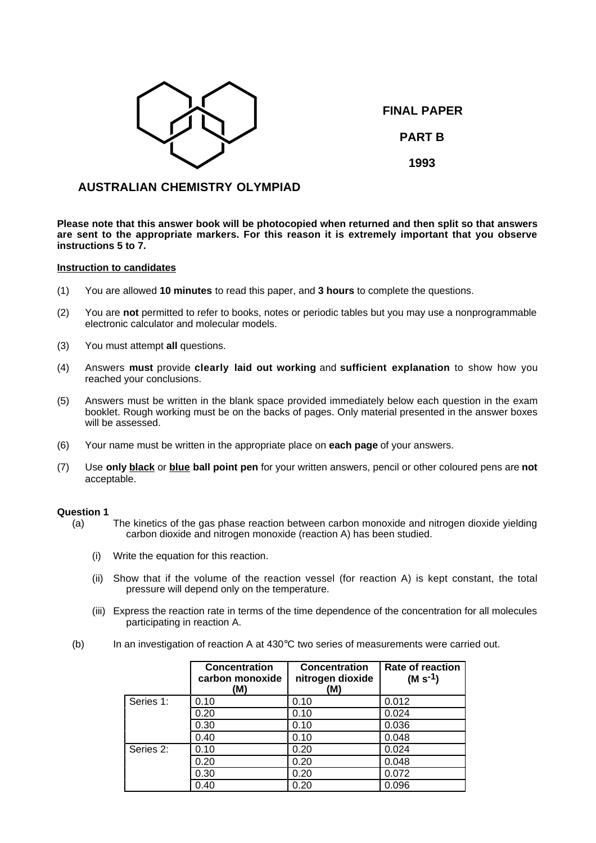

**FINAL PAPER PART B**

**1993**

# **AUSTRALIAN CHEMISTRY OLYMPIAD**

**Please note that this answer book will be photocopied when returned and then split so that answers are sent to the appropriate markers. For this reason it is extremely important that you observe instructions 5 to 7.**

## **Instruction to candidates**

- (1) You are allowed **10 minutes** to read this paper, and **3 hours** to complete the questions.
- (2) You are **not** permitted to refer to books, notes or periodic tables but you may use a nonprogrammable electronic calculator and molecular models.
- (3) You must attempt **all** questions.
- (4) Answers **must** provide **clearly laid out working** and **sufficient explanation** to show how you reached your conclusions.
- (5) Answers must be written in the blank space provided immediately below each question in the exam booklet. Rough working must be on the backs of pages. Only material presented in the answer boxes will be assessed.
- (6) Your name must be written in the appropriate place on **each page** of your answers.
- (7) Use **only black** or **blue ball point pen** for your written answers, pencil or other coloured pens are **not** acceptable.

## **Question 1**

- (a) The kinetics of the gas phase reaction between carbon monoxide and nitrogen dioxide yielding carbon dioxide and nitrogen monoxide (reaction A) has been studied.
	- (i) Write the equation for this reaction.
	- (ii) Show that if the volume of the reaction vessel (for reaction A) is kept constant, the total pressure will depend only on the temperature.
	- (iii) Express the reaction rate in terms of the time dependence of the concentration for all molecules participating in reaction A.
- (b) In an investigation of reaction A at 430°C two series of measurements were carried out.

|           | <b>Concentration</b><br>carbon monoxide<br>(M) | <b>Concentration</b><br>nitrogen dioxide<br>(M) | Rate of reaction<br>$(M s^{-1})$ |
|-----------|------------------------------------------------|-------------------------------------------------|----------------------------------|
| Series 1: | 0.10                                           | 0.10                                            | 0.012                            |
|           | 0.20                                           | 0.10                                            | 0.024                            |
|           | 0.30                                           | 0.10                                            | 0.036                            |
|           | 0.40                                           | 0.10                                            | 0.048                            |
| Series 2: | 0.10                                           | 0.20                                            | 0.024                            |
|           | 0.20                                           | 0.20                                            | 0.048                            |
|           | 0.30                                           | 0.20                                            | 0.072                            |
|           | 0.40                                           | 0.20                                            | 0.096                            |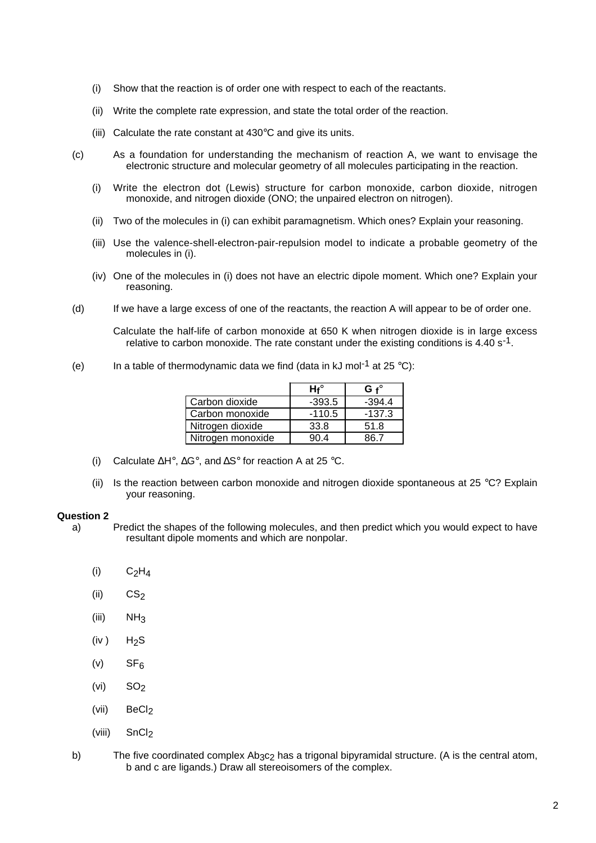- (i) Show that the reaction is of order one with respect to each of the reactants.
- (ii) Write the complete rate expression, and state the total order of the reaction.
- (iii) Calculate the rate constant at 430°C and give its units.
- (c) As a foundation for understanding the mechanism of reaction A, we want to envisage the electronic structure and molecular geometry of all molecules participating in the reaction.
	- (i) Write the electron dot (Lewis) structure for carbon monoxide, carbon dioxide, nitrogen monoxide, and nitrogen dioxide (ONO; the unpaired electron on nitrogen).
	- (ii) Two of the molecules in (i) can exhibit paramagnetism. Which ones? Explain your reasoning.
	- (iii) Use the valence-shell-electron-pair-repulsion model to indicate a probable geometry of the molecules in (i).
	- (iv) One of the molecules in (i) does not have an electric dipole moment. Which one? Explain your reasoning.
- (d) If we have a large excess of one of the reactants, the reaction A will appear to be of order one.

Calculate the half-life of carbon monoxide at 650 K when nitrogen dioxide is in large excess relative to carbon monoxide. The rate constant under the existing conditions is 4.40 s<sup>-1</sup>.

(e) In a table of thermodynamic data we find (data in kJ mol<sup>-1</sup> at 25 °C):

|                   | $Hf^\circ$ | $G f^{\circ}$ |
|-------------------|------------|---------------|
| Carbon dioxide    | $-393.5$   | $-394.4$      |
| Carbon monoxide   | $-110.5$   | $-137.3$      |
| Nitrogen dioxide  | 33.8       | 51.8          |
| Nitrogen monoxide | 90 4       | 86 7          |

- (i) Calculate ∆H°, ∆G°, and ∆S° for reaction A at 25 °C.
- (ii) Is the reaction between carbon monoxide and nitrogen dioxide spontaneous at 25 °C? Explain your reasoning.

#### **Question 2**

- a) Predict the shapes of the following molecules, and then predict which you would expect to have resultant dipole moments and which are nonpolar.
	- $(i)$   $C_2H_4$
	- $(ii)$   $CS<sub>2</sub>$
	- (iii)  $NH<sub>3</sub>$
	- $(iv)$  H<sub>2</sub>S
	- $(v)$  SF<sub>6</sub>
	- $(vi)$  SO<sub>2</sub>
	- (vii)  $BeCl<sub>2</sub>$
	- (viii) SnCl<sub>2</sub>
- b) The five coordinated complex Ab3c<sub>2</sub> has a trigonal bipyramidal structure. (A is the central atom, b and c are ligands.) Draw all stereoisomers of the complex.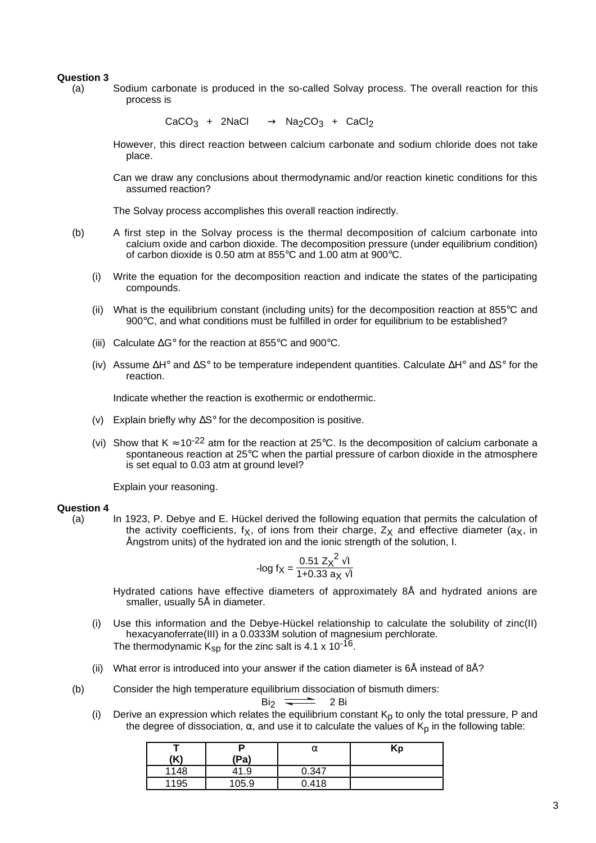## **Question 3**

(a) Sodium carbonate is produced in the so-called Solvay process. The overall reaction for this process is

 $CaCO<sub>3</sub> + 2NaCl \longrightarrow Na<sub>2</sub>CO<sub>3</sub> + CaCl<sub>2</sub>$ 

However, this direct reaction between calcium carbonate and sodium chloride does not take place.

Can we draw any conclusions about thermodynamic and/or reaction kinetic conditions for this assumed reaction?

The Solvay process accomplishes this overall reaction indirectly.

- (b) A first step in the Solvay process is the thermal decomposition of calcium carbonate into calcium oxide and carbon dioxide. The decomposition pressure (under equilibrium condition) of carbon dioxide is 0.50 atm at 855°C and 1.00 atm at 900°C.
	- (i) Write the equation for the decomposition reaction and indicate the states of the participating compounds.
	- (ii) What is the equilibrium constant (including units) for the decomposition reaction at 855 $\degree$ C and 900°C, and what conditions must be fulfilled in order for equilibrium to be established?
	- (iii) Calculate ∆G° for the reaction at 855°C and 900°C.
	- (iv) Assume ∆H° and ∆S° to be temperature independent quantities. Calculate ∆H° and ∆S° for the reaction.

Indicate whether the reaction is exothermic or endothermic.

- (v) Explain briefly why ∆S° for the decomposition is positive.
- (vi) Show that K  $\approx$  10<sup>-22</sup> atm for the reaction at 25°C. Is the decomposition of calcium carbonate a spontaneous reaction at 25°C when the partial pressure of carbon dioxide in the atmosphere is set equal to 0.03 atm at ground level?

Explain your reasoning.

#### **Question 4**

(a) In 1923, P. Debye and E. Hückel derived the following equation that permits the calculation of the activity coefficients, f<sub>X</sub>, of ions from their charge,  $Z_X$  and effective diameter ( $a_X$ , in Ångstrom units) of the hydrated ion and the ionic strength of the solution, I.

$$
-log f_X = \frac{0.51 \, Z_X^2 \sqrt{I}}{1 + 0.33 \, a_X \sqrt{I}}
$$

Hydrated cations have effective diameters of approximately 8Å and hydrated anions are smaller, usually 5Å in diameter.

- (i) Use this information and the Debye-Hückel relationship to calculate the solubility of zinc(II) hexacyanoferrate(III) in a 0.0333M solution of magnesium perchlorate. The thermodynamic  $K_{SD}$  for the zinc salt is 4.1 x 10<sup>-16</sup>.
- (ii) What error is introduced into your answer if the cation diameter is  $6\text{\AA}$  instead of  $8\text{\AA}$ ?
- (b) Consider the high temperature equilibrium dissociation of bismuth dimers:

Bi<sub>2</sub>

$$
\overline{\phantom{1}} \quad 2 \text{ Bi}
$$

(i) Derive an expression which relates the equilibrium constant  $K_p$  to only the total pressure, P and the degree of dissociation,  $\alpha$ , and use it to calculate the values of  $K_p$  in the following table:

| (K)  | (Pa)  | α     | Kp |
|------|-------|-------|----|
| 1148 | 41.9  | 0.347 |    |
| 1195 | 105.9 | 0.418 |    |